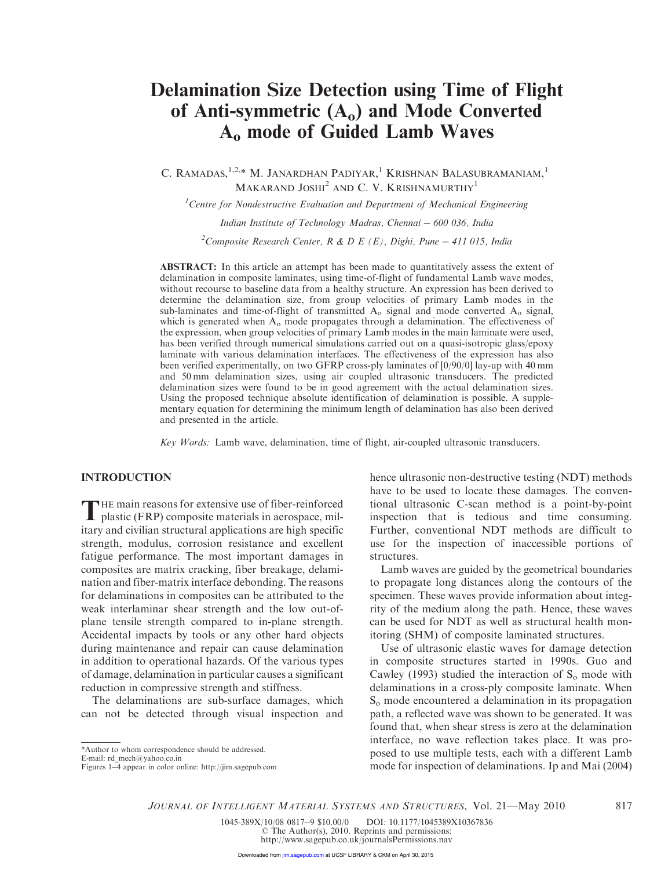# Delamination Size Detection using Time of Flight of Anti-symmetric  $(A_0)$  and Mode Converted A<sup>o</sup> mode of Guided Lamb Waves

C. RAMADAS,<sup>1,2,\*</sup> M. JANARDHAN PADIYAR,<sup>1</sup> KRISHNAN BALASUBRAMANIAM,<sup>1</sup> MAKARAND JOSHI<sup>2</sup> AND C. V. KRISHNAMURTHY<sup>1</sup>

*<sup>1</sup>Centre for Nondestructive Evaluation and Department of Mechanical Engineering*

*Indian Institute of Technology Madras, Chennai* - *600 036, India*

*<sup>2</sup>Composite Research Center, R & D E (E), Dighi, Pune* - *411 015, India*

ABSTRACT: In this article an attempt has been made to quantitatively assess the extent of delamination in composite laminates, using time-of-flight of fundamental Lamb wave modes, without recourse to baseline data from a healthy structure. An expression has been derived to determine the delamination size, from group velocities of primary Lamb modes in the sub-laminates and time-of-flight of transmitted  $A_0$  signal and mode converted  $A_0$  signal, which is generated when  $A_0$  mode propagates through a delamination. The effectiveness of the expression, when group velocities of primary Lamb modes in the main laminate were used, has been verified through numerical simulations carried out on a quasi-isotropic glass/epoxy laminate with various delamination interfaces. The effectiveness of the expression has also been verified experimentally, on two GFRP cross-ply laminates of [0/90/0] lay-up with 40 mm and 50 mm delamination sizes, using air coupled ultrasonic transducers. The predicted delamination sizes were found to be in good agreement with the actual delamination sizes. Using the proposed technique absolute identification of delamination is possible. A supplementary equation for determining the minimum length of delamination has also been derived and presented in the article.

*Key Words:* Lamb wave, delamination, time of flight, air-coupled ultrasonic transducers.

## INTRODUCTION

THE main reasons for extensive use of fiber-reinforced<br>plastic (FRP) composite materials in aerospace, milplastic (FRP) composite materials in aerospace, military and civilian structural applications are high specific strength, modulus, corrosion resistance and excellent fatigue performance. The most important damages in composites are matrix cracking, fiber breakage, delamination and fiber-matrix interface debonding. The reasons for delaminations in composites can be attributed to the weak interlaminar shear strength and the low out-ofplane tensile strength compared to in-plane strength. Accidental impacts by tools or any other hard objects during maintenance and repair can cause delamination in addition to operational hazards. Of the various types of damage, delamination in particular causes a significant reduction in compressive strength and stiffness.

The delaminations are sub-surface damages, which can not be detected through visual inspection and

\*Author to whom correspondence should be addressed.

hence ultrasonic non-destructive testing (NDT) methods have to be used to locate these damages. The conventional ultrasonic C-scan method is a point-by-point inspection that is tedious and time consuming. Further, conventional NDT methods are difficult to use for the inspection of inaccessible portions of structures.

Lamb waves are guided by the geometrical boundaries to propagate long distances along the contours of the specimen. These waves provide information about integrity of the medium along the path. Hence, these waves can be used for NDT as well as structural health monitoring (SHM) of composite laminated structures.

Use of ultrasonic elastic waves for damage detection in composite structures started in 1990s. Guo and Cawley (1993) studied the interaction of  $S_0$  mode with delaminations in a cross-ply composite laminate. When S<sup>o</sup> mode encountered a delamination in its propagation path, a reflected wave was shown to be generated. It was found that, when shear stress is zero at the delamination interface, no wave reflection takes place. It was proposed to use multiple tests, each with a different Lamb mode for inspection of delaminations. Ip and Mai (2004)

*JOURNAL OF INTELLIGENT MATERIAL SYSTEMS AND STRUCTURES*, Vol. 21—May 2010 817

DOI: 10.1177/1045389X10367836

1045-389X/10/08 0817-

E-mail: rd\_mech@yahoo.co.in

Figures 1-4 appear in color online: http://jim.sagepub.com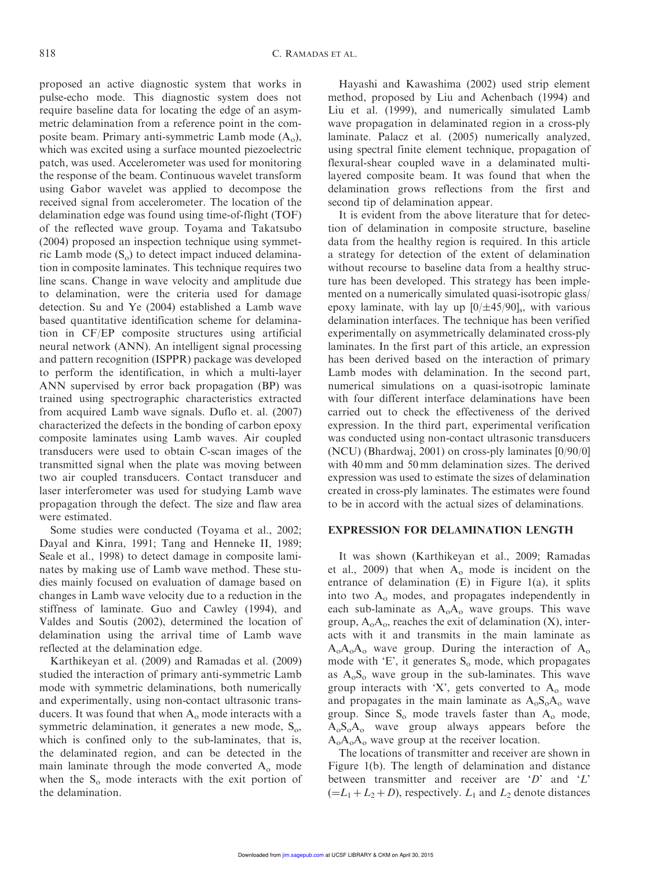proposed an active diagnostic system that works in pulse-echo mode. This diagnostic system does not require baseline data for locating the edge of an asymmetric delamination from a reference point in the composite beam. Primary anti-symmetric Lamb mode  $(A_0)$ , which was excited using a surface mounted piezoelectric patch, was used. Accelerometer was used for monitoring the response of the beam. Continuous wavelet transform using Gabor wavelet was applied to decompose the received signal from accelerometer. The location of the delamination edge was found using time-of-flight (TOF) of the reflected wave group. Toyama and Takatsubo (2004) proposed an inspection technique using symmetric Lamb mode  $(S<sub>o</sub>)$  to detect impact induced delamination in composite laminates. This technique requires two line scans. Change in wave velocity and amplitude due to delamination, were the criteria used for damage detection. Su and Ye (2004) established a Lamb wave based quantitative identification scheme for delamination in CF/EP composite structures using artificial neural network (ANN). An intelligent signal processing and pattern recognition (ISPPR) package was developed to perform the identification, in which a multi-layer ANN supervised by error back propagation (BP) was trained using spectrographic characteristics extracted from acquired Lamb wave signals. Duflo et. al. (2007) characterized the defects in the bonding of carbon epoxy composite laminates using Lamb waves. Air coupled transducers were used to obtain C-scan images of the transmitted signal when the plate was moving between two air coupled transducers. Contact transducer and laser interferometer was used for studying Lamb wave propagation through the defect. The size and flaw area were estimated.

Some studies were conducted (Toyama et al., 2002; Dayal and Kinra, 1991; Tang and Henneke II, 1989; Seale et al., 1998) to detect damage in composite laminates by making use of Lamb wave method. These studies mainly focused on evaluation of damage based on changes in Lamb wave velocity due to a reduction in the stiffness of laminate. Guo and Cawley (1994), and Valdes and Soutis (2002), determined the location of delamination using the arrival time of Lamb wave reflected at the delamination edge.

Karthikeyan et al. (2009) and Ramadas et al. (2009) studied the interaction of primary anti-symmetric Lamb mode with symmetric delaminations, both numerically and experimentally, using non-contact ultrasonic transducers. It was found that when  $A_0$  mode interacts with a symmetric delamination, it generates a new mode,  $S_0$ , which is confined only to the sub-laminates, that is, the delaminated region, and can be detected in the main laminate through the mode converted  $A_0$  mode when the  $S<sub>o</sub>$  mode interacts with the exit portion of the delamination.

Hayashi and Kawashima (2002) used strip element method, proposed by Liu and Achenbach (1994) and Liu et al. (1999), and numerically simulated Lamb wave propagation in delaminated region in a cross-ply laminate. Palacz et al. (2005) numerically analyzed, using spectral finite element technique, propagation of flexural-shear coupled wave in a delaminated multilayered composite beam. It was found that when the delamination grows reflections from the first and second tip of delamination appear.

It is evident from the above literature that for detection of delamination in composite structure, baseline data from the healthy region is required. In this article a strategy for detection of the extent of delamination without recourse to baseline data from a healthy structure has been developed. This strategy has been implemented on a numerically simulated quasi-isotropic glass/ epoxy laminate, with lay up  $[0/\pm 45/90]_s$ , with various delamination interfaces. The technique has been verified experimentally on asymmetrically delaminated cross-ply laminates. In the first part of this article, an expression has been derived based on the interaction of primary Lamb modes with delamination. In the second part, numerical simulations on a quasi-isotropic laminate with four different interface delaminations have been carried out to check the effectiveness of the derived expression. In the third part, experimental verification was conducted using non-contact ultrasonic transducers (NCU) (Bhardwaj, 2001) on cross-ply laminates [0/90/0] with 40 mm and 50 mm delamination sizes. The derived expression was used to estimate the sizes of delamination created in cross-ply laminates. The estimates were found to be in accord with the actual sizes of delaminations.

## EXPRESSION FOR DELAMINATION LENGTH

It was shown (Karthikeyan et al., 2009; Ramadas et al., 2009) that when  $A_0$  mode is incident on the entrance of delamination (E) in Figure 1(a), it splits into two  $A_0$  modes, and propagates independently in each sub-laminate as  $A_0A_0$  wave groups. This wave group,  $A_0A_0$ , reaches the exit of delamination  $(X)$ , interacts with it and transmits in the main laminate as  $A_0A_0A_0$  wave group. During the interaction of  $A_0$ mode with 'E', it generates  $S_0$  mode, which propagates as  $A_0S_0$  wave group in the sub-laminates. This wave group interacts with 'X', gets converted to  $A_0$  mode and propagates in the main laminate as  $A_0S_0A_0$  wave group. Since  $S_0$  mode travels faster than  $A_0$  mode,  $A_0S_0A_0$  wave group always appears before the  $A_0A_0A_0$  wave group at the receiver location.

The locations of transmitter and receiver are shown in Figure 1(b). The length of delamination and distance between transmitter and receiver are '*D*' and '*L*'  $(=L_1+L_2+D)$ , respectively.  $L_1$  and  $L_2$  denote distances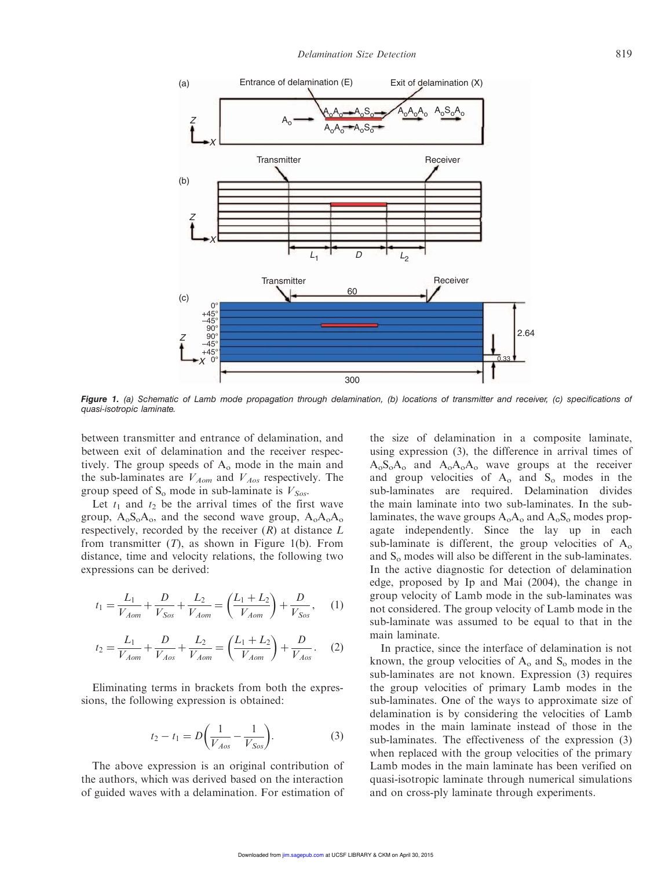

Figure 1. *(a) Schematic of Lamb mode propagation through delamination, (b) locations of transmitter and receiver, (c) specifications of quasi-isotropic laminate.*

between transmitter and entrance of delamination, and between exit of delamination and the receiver respectively. The group speeds of  $A_0$  mode in the main and the sub-laminates are *VAom* and *VAos* respectively. The group speed of  $S_0$  mode in sub-laminate is  $V_{Sos}$ .

Let  $t_1$  and  $t_2$  be the arrival times of the first wave group,  $A_0S_0A_0$ , and the second wave group,  $A_0A_0A_0$ respectively, recorded by the receiver (*R*) at distance *L* from transmitter (*T*), as shown in Figure 1(b). From distance, time and velocity relations, the following two expressions can be derived:

$$
t_1 = \frac{L_1}{V_{Aom}} + \frac{D}{V_{Sos}} + \frac{L_2}{V_{Aom}} = \left(\frac{L_1 + L_2}{V_{Aom}}\right) + \frac{D}{V_{Sos}},\tag{1}
$$

$$
t_2 = \frac{L_1}{V_{Aom}} + \frac{D}{V_{Aos}} + \frac{L_2}{V_{Aom}} = \left(\frac{L_1 + L_2}{V_{Aom}}\right) + \frac{D}{V_{Aos}}.\tag{2}
$$

Eliminating terms in brackets from both the expressions, the following expression is obtained:

$$
t_2 - t_1 = D\bigg(\frac{1}{V_{Aos}} - \frac{1}{V_{Sos}}\bigg). \tag{3}
$$

The above expression is an original contribution of the authors, which was derived based on the interaction of guided waves with a delamination. For estimation of the size of delamination in a composite laminate, using expression (3), the difference in arrival times of  $A_0S_0A_0$  and  $A_0A_0A_0$  wave groups at the receiver and group velocities of  $A_0$  and  $S_0$  modes in the sub-laminates are required. Delamination divides the main laminate into two sub-laminates. In the sublaminates, the wave groups  $A_0A_0$  and  $A_0S_0$  modes propagate independently. Since the lay up in each sub-laminate is different, the group velocities of  $A_0$ and S<sub>o</sub> modes will also be different in the sub-laminates. In the active diagnostic for detection of delamination edge, proposed by Ip and Mai (2004), the change in group velocity of Lamb mode in the sub-laminates was not considered. The group velocity of Lamb mode in the sub-laminate was assumed to be equal to that in the main laminate.

In practice, since the interface of delamination is not known, the group velocities of  $A_0$  and  $S_0$  modes in the sub-laminates are not known. Expression (3) requires the group velocities of primary Lamb modes in the sub-laminates. One of the ways to approximate size of delamination is by considering the velocities of Lamb modes in the main laminate instead of those in the sub-laminates. The effectiveness of the expression (3) when replaced with the group velocities of the primary Lamb modes in the main laminate has been verified on quasi-isotropic laminate through numerical simulations and on cross-ply laminate through experiments.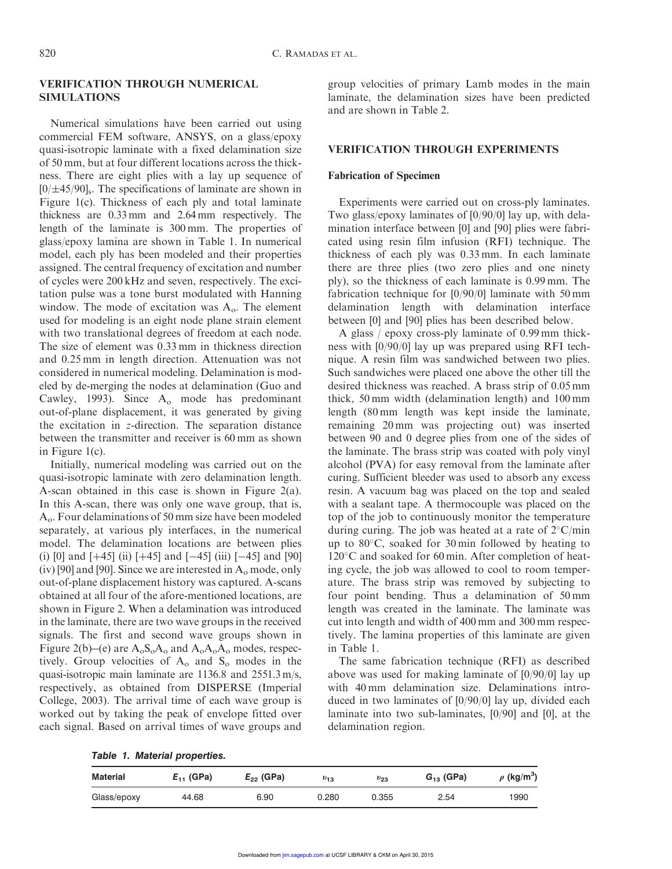# VERIFICATION THROUGH NUMERICAL SIMULATIONS

Numerical simulations have been carried out using commercial FEM software, ANSYS, on a glass/epoxy quasi-isotropic laminate with a fixed delamination size of 50 mm, but at four different locations across the thickness. There are eight plies with a lay up sequence of  $[0/\pm 45/90]_s$ . The specifications of laminate are shown in Figure 1(c). Thickness of each ply and total laminate thickness are 0.33 mm and 2.64 mm respectively. The length of the laminate is 300 mm. The properties of glass/epoxy lamina are shown in Table 1. In numerical model, each ply has been modeled and their properties assigned. The central frequency of excitation and number of cycles were 200 kHz and seven, respectively. The excitation pulse was a tone burst modulated with Hanning window. The mode of excitation was  $A_0$ . The element used for modeling is an eight node plane strain element with two translational degrees of freedom at each node. The size of element was 0.33 mm in thickness direction and 0.25 mm in length direction. Attenuation was not considered in numerical modeling. Delamination is modeled by de-merging the nodes at delamination (Guo and Cawley, 1993). Since  $A_0$  mode has predominant out-of-plane displacement, it was generated by giving the excitation in *z*-direction. The separation distance between the transmitter and receiver is 60 mm as shown in Figure 1(c).

Initially, numerical modeling was carried out on the quasi-isotropic laminate with zero delamination length. A-scan obtained in this case is shown in Figure 2(a). In this A-scan, there was only one wave group, that is, Ao. Four delaminations of 50 mm size have been modeled separately, at various ply interfaces, in the numerical model. The delamination locations are between plies (i) [0] and  $[+45]$  (ii)  $[+45]$  and  $[-45]$  (iii)  $[-45]$  and [90] (iv) [90] and [90]. Since we are interested in  $A_0$  mode, only out-of-plane displacement history was captured. A-scans obtained at all four of the afore-mentioned locations, are shown in Figure 2. When a delamination was introduced in the laminate, there are two wave groups in the received signals. The first and second wave groups shown in Figure 2(b)–(e) are  $A_0S_0A_0$  and  $A_0A_0A_0$  modes, respectively. Group velocities of  $A_0$  and  $S_0$  modes in the quasi-isotropic main laminate are 1136.8 and 2551.3 m/s, respectively, as obtained from DISPERSE (Imperial College, 2003). The arrival time of each wave group is worked out by taking the peak of envelope fitted over each signal. Based on arrival times of wave groups and

group velocities of primary Lamb modes in the main laminate, the delamination sizes have been predicted and are shown in Table 2.

### VERIFICATION THROUGH EXPERIMENTS

#### Fabrication of Specimen

Experiments were carried out on cross-ply laminates. Two glass/epoxy laminates of [0/90/0] lay up, with delamination interface between [0] and [90] plies were fabricated using resin film infusion (RFI) technique. The thickness of each ply was 0.33 mm. In each laminate there are three plies (two zero plies and one ninety ply), so the thickness of each laminate is 0.99 mm. The fabrication technique for [0/90/0] laminate with 50 mm delamination length with delamination interface between [0] and [90] plies has been described below.

A glass / epoxy cross-ply laminate of 0.99 mm thickness with [0/90/0] lay up was prepared using RFI technique. A resin film was sandwiched between two plies. Such sandwiches were placed one above the other till the desired thickness was reached. A brass strip of 0.05 mm thick, 50 mm width (delamination length) and 100 mm length (80 mm length was kept inside the laminate, remaining 20 mm was projecting out) was inserted between 90 and 0 degree plies from one of the sides of the laminate. The brass strip was coated with poly vinyl alcohol (PVA) for easy removal from the laminate after curing. Sufficient bleeder was used to absorb any excess resin. A vacuum bag was placed on the top and sealed with a sealant tape. A thermocouple was placed on the top of the job to continuously monitor the temperature during curing. The job was heated at a rate of  $2^{\circ}C/\text{min}$ up to  $80^{\circ}$ C, soaked for 30 min followed by heating to  $120^{\circ}$ C and soaked for 60 min. After completion of heating cycle, the job was allowed to cool to room temperature. The brass strip was removed by subjecting to four point bending. Thus a delamination of 50 mm length was created in the laminate. The laminate was cut into length and width of 400 mm and 300 mm respectively. The lamina properties of this laminate are given in Table 1.

The same fabrication technique (RFI) as described above was used for making laminate of [0/90/0] lay up with 40 mm delamination size. Delaminations introduced in two laminates of [0/90/0] lay up, divided each laminate into two sub-laminates, [0/90] and [0], at the delamination region.

| Table 1. Material properties. |  |
|-------------------------------|--|
|-------------------------------|--|

| <b>Material</b> | $E_{11}$ (GPa) | $E_{22}$ (GPa) | $v_{13}$ | $v_{23}$ | $G_{13}$ (GPa) | $\rho$ (kg/m <sup>3</sup> ) |
|-----------------|----------------|----------------|----------|----------|----------------|-----------------------------|
| Glass/epoxy     | 44.68          | 6.90           | 0.280    | 0.355    | 2.54           | 1990                        |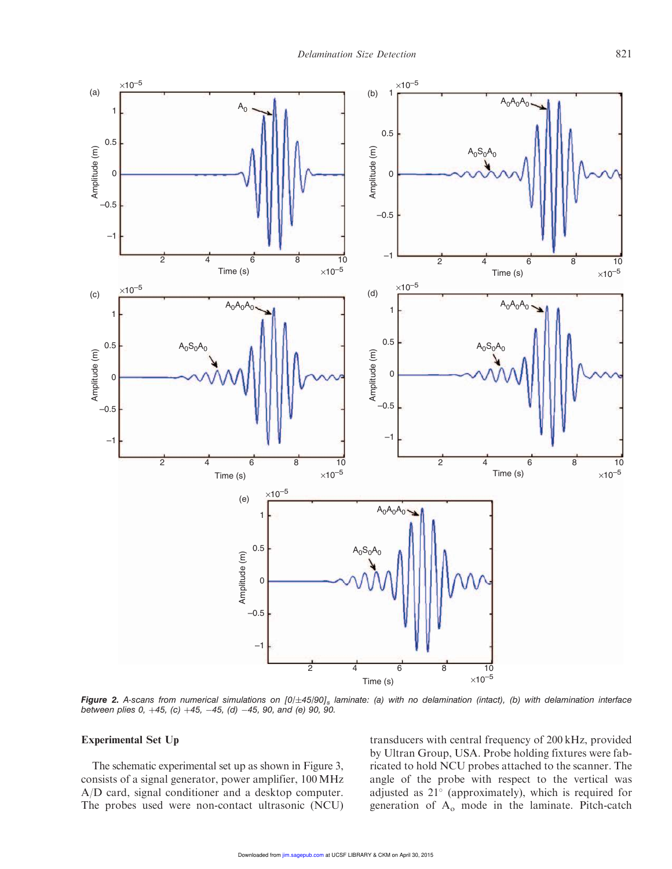

**Figure 2.** A-scans from numerical simulations on [0/±45/90]<sub>s</sub> laminate: (a) with no delamination (intact), (b) with delamination interface *between plies 0,* þ*45, (c)* þ*45, 45, (d) 45, 90, and (e) 90, 90.*

## Experimental Set Up

The schematic experimental set up as shown in Figure 3, consists of a signal generator, power amplifier, 100 MHz A/D card, signal conditioner and a desktop computer. The probes used were non-contact ultrasonic (NCU)

transducers with central frequency of 200 kHz, provided by Ultran Group, USA. Probe holding fixtures were fabricated to hold NCU probes attached to the scanner. The angle of the probe with respect to the vertical was adjusted as 21 (approximately), which is required for generation of A<sup>o</sup> mode in the laminate. Pitch-catch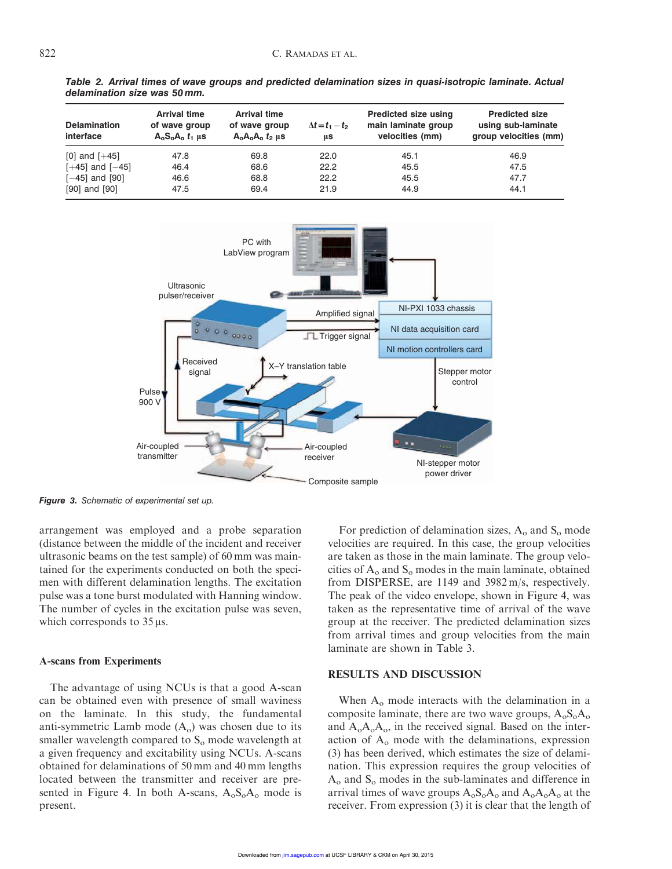| delamination size was 50 mm.     |                                                           |                                                                   |                              |                                                                       |                                                                      |  |
|----------------------------------|-----------------------------------------------------------|-------------------------------------------------------------------|------------------------------|-----------------------------------------------------------------------|----------------------------------------------------------------------|--|
| <b>Delamination</b><br>interface | <b>Arrival time</b><br>of wave group<br>$A_0S_0A_0t_1$ µs | <b>Arrival time</b><br>of wave group<br>$A_0A_0A_0$ $t_2$ $\mu s$ | $\Delta t = t_1 - t_2$<br>μS | <b>Predicted size using</b><br>main laminate group<br>velocities (mm) | <b>Predicted size</b><br>using sub-laminate<br>group velocities (mm) |  |
| $[0]$ and $[+45]$                | 47.8                                                      | 69.8                                                              | 22.0                         | 45.1                                                                  | 46.9                                                                 |  |
| $[-45]$ and $[-45]$              | 46.4                                                      | 68.6                                                              | 22.2                         | 45.5                                                                  | 47.5                                                                 |  |
| $[-45]$ and $[90]$               | 46.6                                                      | 68.8                                                              | 22.2                         | 45.5                                                                  | 47.7                                                                 |  |
| $[90]$ and $[90]$                | 47.5                                                      | 69.4                                                              | 21.9                         | 44.9                                                                  | 44.1                                                                 |  |

Table 2. Arrival times of wave groups and predicted delamination sizes in quasi-isotropic laminate. Actual delamination size was 50 mm.



Figure 3. *Schematic of experimental set up.*

arrangement was employed and a probe separation (distance between the middle of the incident and receiver ultrasonic beams on the test sample) of 60 mm was maintained for the experiments conducted on both the specimen with different delamination lengths. The excitation pulse was a tone burst modulated with Hanning window. The number of cycles in the excitation pulse was seven, which corresponds to  $35 \mu s$ .

#### A-scans from Experiments

The advantage of using NCUs is that a good A-scan can be obtained even with presence of small waviness on the laminate. In this study, the fundamental anti-symmetric Lamb mode  $(A<sub>o</sub>)$  was chosen due to its smaller wavelength compared to  $S_0$  mode wavelength at a given frequency and excitability using NCUs. A-scans obtained for delaminations of 50 mm and 40 mm lengths located between the transmitter and receiver are presented in Figure 4. In both A-scans,  $A_0S_0A_0$  mode is present.

For prediction of delamination sizes,  $A_0$  and  $S_0$  mode velocities are required. In this case, the group velocities are taken as those in the main laminate. The group velocities of  $A_0$  and  $S_0$  modes in the main laminate, obtained from DISPERSE, are 1149 and 3982 m/s, respectively. The peak of the video envelope, shown in Figure 4, was taken as the representative time of arrival of the wave group at the receiver. The predicted delamination sizes from arrival times and group velocities from the main laminate are shown in Table 3.

#### RESULTS AND DISCUSSION

When  $A_0$  mode interacts with the delamination in a composite laminate, there are two wave groups,  $A_0S_0A_0$ and  $A_0A_0A_0$ , in the received signal. Based on the interaction of  $A_0$  mode with the delaminations, expression (3) has been derived, which estimates the size of delamination. This expression requires the group velocities of A<sup>o</sup> and S<sup>o</sup> modes in the sub-laminates and difference in arrival times of wave groups  $A_0S_0A_0$  and  $A_0A_0A_0$  at the receiver. From expression (3) it is clear that the length of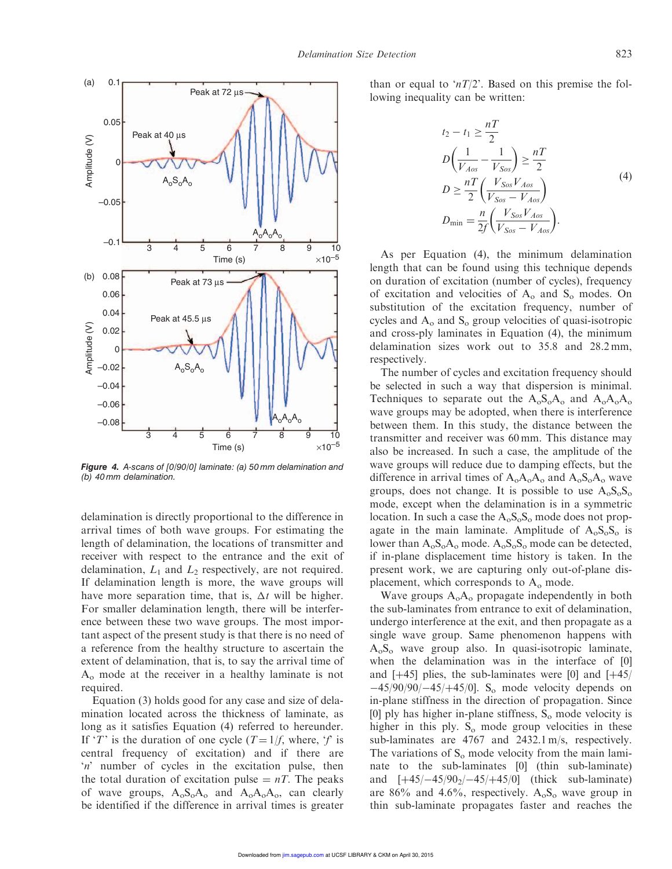

Figure 4. *A-scans of [0/90/0] laminate: (a) 50 mm delamination and (b) 40 mm delamination.*

delamination is directly proportional to the difference in arrival times of both wave groups. For estimating the length of delamination, the locations of transmitter and receiver with respect to the entrance and the exit of delamination, *L*<sup>1</sup> and *L*<sup>2</sup> respectively, are not required. If delamination length is more, the wave groups will have more separation time, that is,  $\Delta t$  will be higher. For smaller delamination length, there will be interference between these two wave groups. The most important aspect of the present study is that there is no need of a reference from the healthy structure to ascertain the extent of delamination, that is, to say the arrival time of A<sup>o</sup> mode at the receiver in a healthy laminate is not required.

Equation (3) holds good for any case and size of delamination located across the thickness of laminate, as long as it satisfies Equation (4) referred to hereunder. If '*T*' is the duration of one cycle  $(T = 1/f$ , where, '*f*' is central frequency of excitation) and if there are '*n*' number of cycles in the excitation pulse, then the total duration of excitation pulse  $= nT$ . The peaks of wave groups,  $A_0S_0A_0$  and  $A_0A_0A_0$ , can clearly be identified if the difference in arrival times is greater

than or equal to ' $nT/2$ '. Based on this premise the following inequality can be written:

$$
t_2 - t_1 \geq \frac{nT}{2}
$$
  
\n
$$
D\left(\frac{1}{V_{Aos}} - \frac{1}{V_{Sos}}\right) \geq \frac{nT}{2}
$$
  
\n
$$
D \geq \frac{nT}{2} \left(\frac{V_{Sos}V_{Aos}}{V_{Sos} - V_{Aos}}\right)
$$
  
\n
$$
D_{\min} = \frac{n}{2f} \left(\frac{V_{Sos}V_{Aos}}{V_{Sos} - V_{Aos}}\right).
$$
\n(4)

As per Equation (4), the minimum delamination length that can be found using this technique depends on duration of excitation (number of cycles), frequency of excitation and velocities of  $A_0$  and  $S_0$  modes. On substitution of the excitation frequency, number of cycles and  $A_0$  and  $S_0$  group velocities of quasi-isotropic and cross-ply laminates in Equation (4), the minimum delamination sizes work out to 35.8 and 28.2 mm, respectively.

The number of cycles and excitation frequency should be selected in such a way that dispersion is minimal. Techniques to separate out the  $A_0S_0A_0$  and  $A_0A_0A_0$ wave groups may be adopted, when there is interference between them. In this study, the distance between the transmitter and receiver was 60 mm. This distance may also be increased. In such a case, the amplitude of the wave groups will reduce due to damping effects, but the difference in arrival times of  $A_0A_0A_0$  and  $A_0S_0A_0$  wave groups, does not change. It is possible to use  $A_0S_0S_0$ mode, except when the delamination is in a symmetric location. In such a case the  $A_0S_0S_0$  mode does not propagate in the main laminate. Amplitude of  $A_0S_0S_0$  is lower than  $A_0S_0A_0$  mode.  $A_0S_0S_0$  mode can be detected, if in-plane displacement time history is taken. In the present work, we are capturing only out-of-plane displacement, which corresponds to  $A_0$  mode.

Wave groups  $A_0A_0$  propagate independently in both the sub-laminates from entrance to exit of delamination, undergo interference at the exit, and then propagate as a single wave group. Same phenomenon happens with  $A_0S_0$  wave group also. In quasi-isotropic laminate, when the delamination was in the interface of [0] and  $[+45]$  plies, the sub-laminates were  $[0]$  and  $[+45]$  $-45/90/90/-45/+45/0$ ]. S<sub>o</sub> mode velocity depends on in-plane stiffness in the direction of propagation. Since [0] ply has higher in-plane stiffness,  $S_0$  mode velocity is higher in this ply.  $S_0$  mode group velocities in these sub-laminates are 4767 and 2432.1 m/s, respectively. The variations of  $S_0$  mode velocity from the main laminate to the sub-laminates [0] (thin sub-laminate) and  $[+45/-45/90<sub>2</sub>]/-45/45/0]$  (thick sub-laminate) are 86% and 4.6%, respectively.  $A_0S_0$  wave group in thin sub-laminate propagates faster and reaches the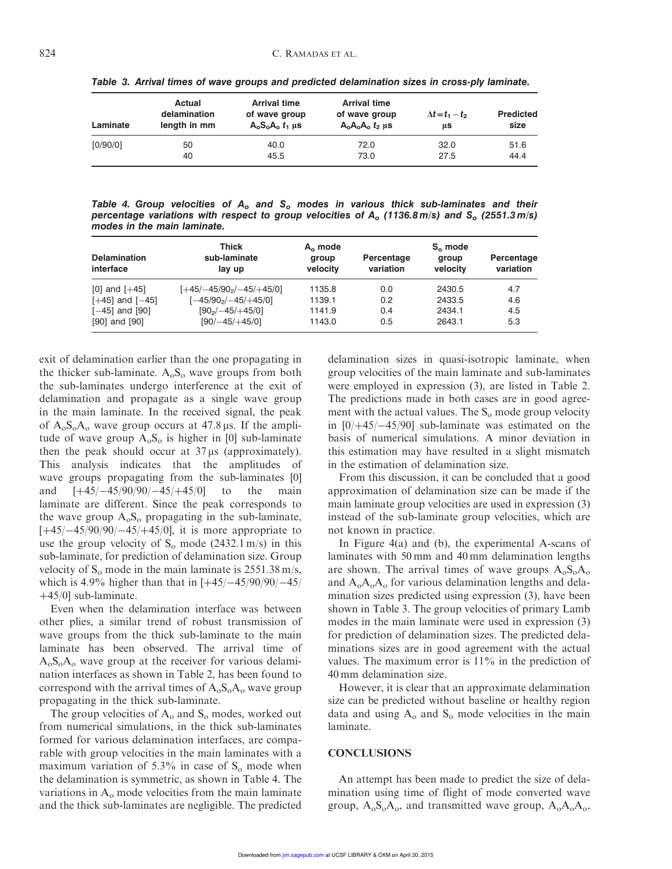| Laminate | <b>Actual</b><br>delamination<br>length in mm | <b>Arrival time</b><br>of wave group<br>$A_0S_0A_0t_1$ µs | <b>Arrival time</b><br>of wave group<br>$A_0A_0A_0t_2$ µs | $\Delta t = t_1 - t_2$<br>μS | <b>Predicted</b><br>size |
|----------|-----------------------------------------------|-----------------------------------------------------------|-----------------------------------------------------------|------------------------------|--------------------------|
| [0/90/0] | 50                                            | 40.0                                                      | 72.0                                                      | 32.0                         | 51.6                     |
|          | 40                                            | 45.5                                                      | 73.0                                                      | 27.5                         | 44.4                     |

Table 3. Arrival times of wave groups and predicted delamination sizes in cross-ply laminate.

Table 4. Group velocities of  $A_o$  and  $S_o$  modes in various thick sub-laminates and their percentage variations with respect to group velocities of  $A_o$  (1136.8 m/s) and  $S_o$  (2551.3 m/s) modes in the main laminate.

| <b>Delamination</b><br>interface | <b>Thick</b><br>sub-laminate<br>lay up | $A_0$ mode<br>group<br>velocity | Percentage<br>variation | $S_0$ mode<br>group<br>velocity | Percentage<br>variation |
|----------------------------------|----------------------------------------|---------------------------------|-------------------------|---------------------------------|-------------------------|
| $[0]$ and $[+45]$                | $[-45/-45/902]/-45/45/0]$              | 1135.8                          | 0.0                     | 2430.5                          | 4.7                     |
| $[-45]$ and $[-45]$              | $[-45/90, -45/ +45/0]$                 | 1139.1                          | 0.2                     | 2433.5                          | 4.6                     |
| $[-45]$ and $[90]$               | $[902/-45/+45/0]$                      | 1141.9                          | 0.4                     | 2434.1                          | 4.5                     |
| $[90]$ and $[90]$                | $[90/-45/+45/0]$                       | 1143.0                          | 0.5                     | 2643.1                          | 5.3                     |

exit of delamination earlier than the one propagating in the thicker sub-laminate.  $A_0S_0$  wave groups from both the sub-laminates undergo interference at the exit of delamination and propagate as a single wave group in the main laminate. In the received signal, the peak of  $A_0S_0A_0$  wave group occurs at 47.8 µs. If the amplitude of wave group  $A_0S_0$  is higher in [0] sub-laminate then the peak should occur at  $37 \mu s$  (approximately). This analysis indicates that the amplitudes of wave groups propagating from the sub-laminates [0] and  $[+45/-45/90/90/-45/+45/0]$  to the main laminate are different. Since the peak corresponds to the wave group  $A_0S_0$  propagating in the sub-laminate,  $[-45/-45/90/90/-45/+45/0]$ , it is more appropriate to use the group velocity of  $S_0$  mode (2432.1 m/s) in this sub-laminate, for prediction of delamination size. Group velocity of  $S_0$  mode in the main laminate is 2551.38 m/s, which is 4.9% higher than that in  $[+45/-45/90/90/-45/$  $+45/0$ ] sub-laminate.

Even when the delamination interface was between other plies, a similar trend of robust transmission of wave groups from the thick sub-laminate to the main laminate has been observed. The arrival time of  $A_0S_0A_0$  wave group at the receiver for various delamination interfaces as shown in Table 2, has been found to correspond with the arrival times of  $A_0S_0A_0$  wave group propagating in the thick sub-laminate.

The group velocities of  $A_0$  and  $S_0$  modes, worked out from numerical simulations, in the thick sub-laminates formed for various delamination interfaces, are comparable with group velocities in the main laminates with a maximum variation of 5.3% in case of  $S_0$  mode when the delamination is symmetric, as shown in Table 4. The variations in  $A_0$  mode velocities from the main laminate and the thick sub-laminates are negligible. The predicted

delamination sizes in quasi-isotropic laminate, when group velocities of the main laminate and sub-laminates were employed in expression (3), are listed in Table 2. The predictions made in both cases are in good agreement with the actual values. The  $S_0$  mode group velocity in  $[0/+45/-45/90]$  sub-laminate was estimated on the basis of numerical simulations. A minor deviation in this estimation may have resulted in a slight mismatch in the estimation of delamination size.

From this discussion, it can be concluded that a good approximation of delamination size can be made if the main laminate group velocities are used in expression (3) instead of the sub-laminate group velocities, which are not known in practice.

In Figure 4(a) and (b), the experimental A-scans of laminates with 50 mm and 40 mm delamination lengths are shown. The arrival times of wave groups  $A_0S_0A_0$ and  $A_0A_0A_0$  for various delamination lengths and delamination sizes predicted using expression (3), have been shown in Table 3. The group velocities of primary Lamb modes in the main laminate were used in expression (3) for prediction of delamination sizes. The predicted delaminations sizes are in good agreement with the actual values. The maximum error is 11% in the prediction of 40 mm delamination size.

However, it is clear that an approximate delamination size can be predicted without baseline or healthy region data and using  $A_0$  and  $S_0$  mode velocities in the main laminate.

# **CONCLUSIONS**

An attempt has been made to predict the size of delamination using time of flight of mode converted wave group,  $A_0S_0A_0$ , and transmitted wave group,  $A_0A_0A_0$ ,